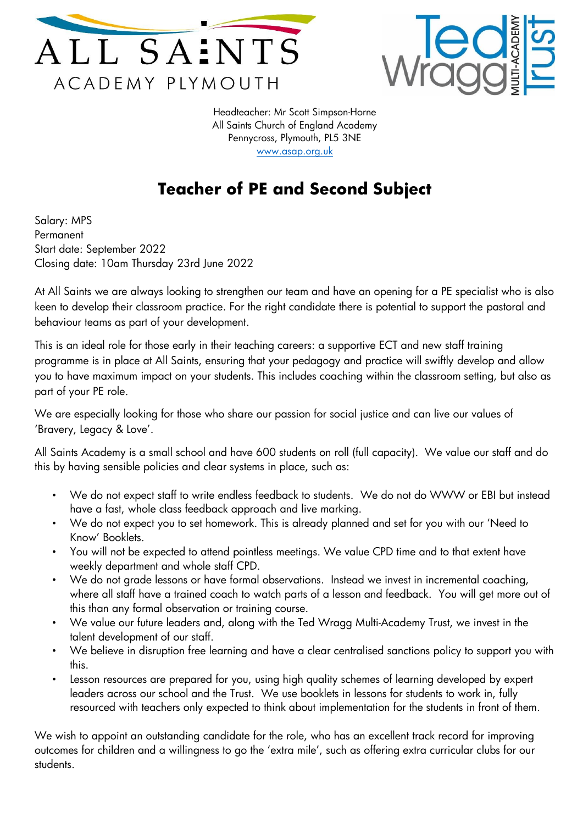



Headteacher: Mr Scott Simpson-Horne All Saints Church of England Academy Pennycross, Plymouth, PL5 3NE [www.asap.org.uk](http://www.asap.org.uk/)

## **Teacher of PE and Second Subject**

Salary: MPS Permanent Start date: September 2022 Closing date: 10am Thursday 23rd June 2022

At All Saints we are always looking to strengthen our team and have an opening for a PE specialist who is also keen to develop their classroom practice. For the right candidate there is potential to support the pastoral and behaviour teams as part of your development.

This is an ideal role for those early in their teaching careers: a supportive ECT and new staff training programme is in place at All Saints, ensuring that your pedagogy and practice will swiftly develop and allow you to have maximum impact on your students. This includes coaching within the classroom setting, but also as part of your PE role.

We are especially looking for those who share our passion for social justice and can live our values of 'Bravery, Legacy & Love'.

All Saints Academy is a small school and have 600 students on roll (full capacity). We value our staff and do this by having sensible policies and clear systems in place, such as:

- We do not expect staff to write endless feedback to students. We do not do WWW or EBI but instead have a fast, whole class feedback approach and live marking.
- We do not expect you to set homework. This is already planned and set for you with our 'Need to Know' Booklets.
- You will not be expected to attend pointless meetings. We value CPD time and to that extent have weekly department and whole staff CPD.
- We do not grade lessons or have formal observations. Instead we invest in incremental coaching, where all staff have a trained coach to watch parts of a lesson and feedback. You will get more out of this than any formal observation or training course.
- We value our future leaders and, along with the Ted Wragg Multi-Academy Trust, we invest in the talent development of our staff.
- We believe in disruption free learning and have a clear centralised sanctions policy to support you with this.
- Lesson resources are prepared for you, using high quality schemes of learning developed by expert leaders across our school and the Trust. We use booklets in lessons for students to work in, fully resourced with teachers only expected to think about implementation for the students in front of them.

We wish to appoint an outstanding candidate for the role, who has an excellent track record for improving outcomes for children and a willingness to go the 'extra mile', such as offering extra curricular clubs for our students.